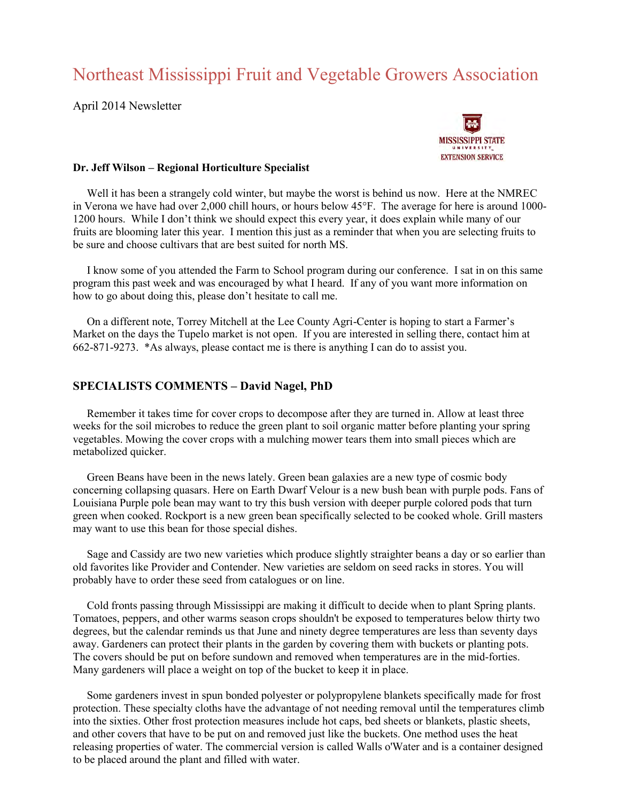# Northeast Mississippi Fruit and Vegetable Growers Association

April 2014 Newsletter



#### **Dr. Jeff Wilson – Regional Horticulture Specialist**

 Well it has been a strangely cold winter, but maybe the worst is behind us now. Here at the NMREC in Verona we have had over 2,000 chill hours, or hours below 45°F. The average for here is around 1000- 1200 hours. While I don't think we should expect this every year, it does explain while many of our fruits are blooming later this year. I mention this just as a reminder that when you are selecting fruits to be sure and choose cultivars that are best suited for north MS.

 I know some of you attended the Farm to School program during our conference. I sat in on this same program this past week and was encouraged by what I heard. If any of you want more information on how to go about doing this, please don't hesitate to call me.

 On a different note, Torrey Mitchell at the Lee County Agri-Center is hoping to start a Farmer's Market on the days the Tupelo market is not open. If you are interested in selling there, contact him at 662-871-9273. \*As always, please contact me is there is anything I can do to assist you.

# **SPECIALISTS COMMENTS – David Nagel, PhD**

 Remember it takes time for cover crops to decompose after they are turned in. Allow at least three weeks for the soil microbes to reduce the green plant to soil organic matter before planting your spring vegetables. Mowing the cover crops with a mulching mower tears them into small pieces which are metabolized quicker.

 Green Beans have been in the news lately. Green bean galaxies are a new type of cosmic body concerning collapsing quasars. Here on Earth Dwarf Velour is a new bush bean with purple pods. Fans of Louisiana Purple pole bean may want to try this bush version with deeper purple colored pods that turn green when cooked. Rockport is a new green bean specifically selected to be cooked whole. Grill masters may want to use this bean for those special dishes.

 Sage and Cassidy are two new varieties which produce slightly straighter beans a day or so earlier than old favorites like Provider and Contender. New varieties are seldom on seed racks in stores. You will probably have to order these seed from catalogues or on line.

 Cold fronts passing through Mississippi are making it difficult to decide when to plant Spring plants. Tomatoes, peppers, and other warms season crops shouldn't be exposed to temperatures below thirty two degrees, but the calendar reminds us that June and ninety degree temperatures are less than seventy days away. Gardeners can protect their plants in the garden by covering them with buckets or planting pots. The covers should be put on before sundown and removed when temperatures are in the mid-forties. Many gardeners will place a weight on top of the bucket to keep it in place.

 Some gardeners invest in spun bonded polyester or polypropylene blankets specifically made for frost protection. These specialty cloths have the advantage of not needing removal until the temperatures climb into the sixties. Other frost protection measures include hot caps, bed sheets or blankets, plastic sheets, and other covers that have to be put on and removed just like the buckets. One method uses the heat releasing properties of water. The commercial version is called Walls o'Water and is a container designed to be placed around the plant and filled with water.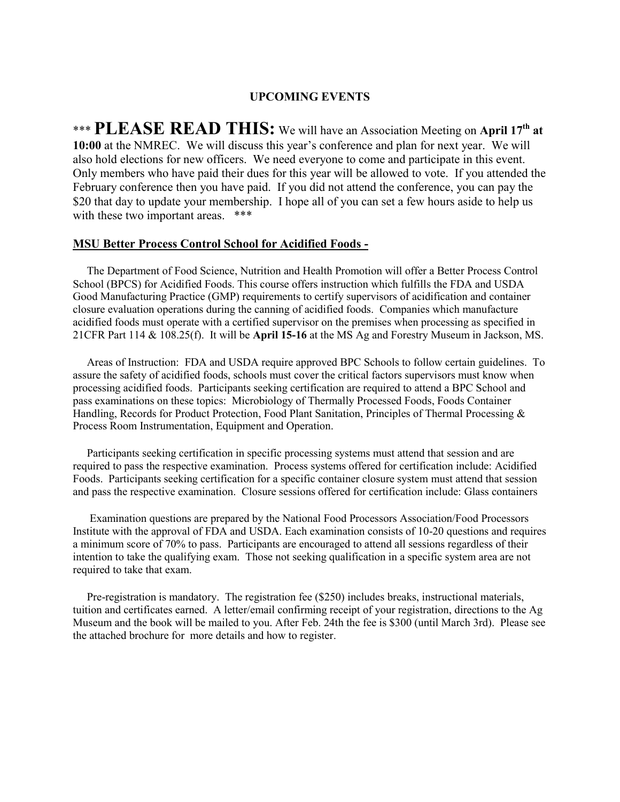# **UPCOMING EVENTS**

\*\*\* **PLEASE READ THIS:** We will have an Association Meeting on **April 17th at 10:00** at the NMREC. We will discuss this year's conference and plan for next year. We will also hold elections for new officers. We need everyone to come and participate in this event. Only members who have paid their dues for this year will be allowed to vote. If you attended the February conference then you have paid. If you did not attend the conference, you can pay the \$20 that day to update your membership. I hope all of you can set a few hours aside to help us with these two important areas. \*\*\*

#### **MSU Better Process Control School for Acidified Foods -**

 The Department of Food Science, Nutrition and Health Promotion will offer a Better Process Control School (BPCS) for Acidified Foods. This course offers instruction which fulfills the FDA and USDA Good Manufacturing Practice (GMP) requirements to certify supervisors of acidification and container closure evaluation operations during the canning of acidified foods. Companies which manufacture acidified foods must operate with a certified supervisor on the premises when processing as specified in 21CFR Part 114 & 108.25(f). It will be **April 15-16** at the MS Ag and Forestry Museum in Jackson, MS.

 Areas of Instruction: FDA and USDA require approved BPC Schools to follow certain guidelines. To assure the safety of acidified foods, schools must cover the critical factors supervisors must know when processing acidified foods. Participants seeking certification are required to attend a BPC School and pass examinations on these topics: Microbiology of Thermally Processed Foods, Foods Container Handling, Records for Product Protection, Food Plant Sanitation, Principles of Thermal Processing & Process Room Instrumentation, Equipment and Operation.

 Participants seeking certification in specific processing systems must attend that session and are required to pass the respective examination. Process systems offered for certification include: Acidified Foods. Participants seeking certification for a specific container closure system must attend that session and pass the respective examination. Closure sessions offered for certification include: Glass containers

 Examination questions are prepared by the National Food Processors Association/Food Processors Institute with the approval of FDA and USDA. Each examination consists of 10-20 questions and requires a minimum score of 70% to pass. Participants are encouraged to attend all sessions regardless of their intention to take the qualifying exam. Those not seeking qualification in a specific system area are not required to take that exam.

Pre-registration is mandatory. The registration fee (\$250) includes breaks, instructional materials, tuition and certificates earned. A letter/email confirming receipt of your registration, directions to the Ag Museum and the book will be mailed to you. After Feb. 24th the fee is \$300 (until March 3rd). Please see the attached brochure for more details and how to register.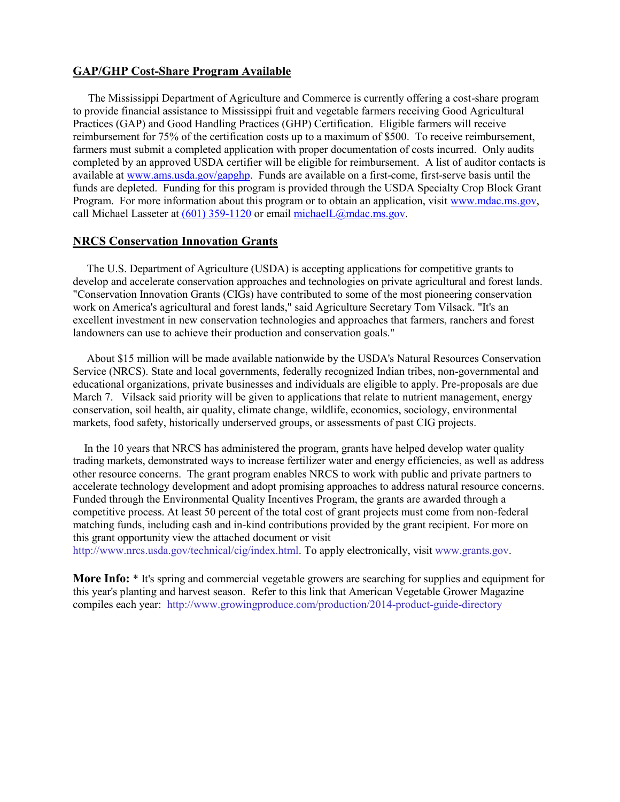# **GAP/GHP Cost-Share Program Available**

 The Mississippi Department of Agriculture and Commerce is currently offering a cost-share program to provide financial assistance to Mississippi fruit and vegetable farmers receiving Good Agricultural Practices (GAP) and Good Handling Practices (GHP) Certification. Eligible farmers will receive reimbursement for 75% of the certification costs up to a maximum of \$500. To receive reimbursement, farmers must submit a completed application with proper documentation of costs incurred. Only audits completed by an approved USDA certifier will be eligible for reimbursement. A list of auditor contacts is available at [www.ams.usda.gov/gapghp.](http://www.ams.usda.gov/gapghp) Funds are available on a first-come, first-serve basis until the funds are depleted. Funding for this program is provided through the USDA Specialty Crop Block Grant Program. For more information about this program or to obtain an application, visi[t www.mdac.ms.gov,](http://www.mdac.ms.gov/) call Michael Lasseter a[t \(601\) 359-1120](callto:%28601%29%20359-1120) or email [michaelL@mdac.ms.gov.](mailto:michaelL@mdac.ms.gov)

## **NRCS Conservation Innovation Grants**

 The U.S. Department of Agriculture (USDA) is accepting applications for competitive grants to develop and accelerate conservation approaches and technologies on private agricultural and forest lands. "Conservation Innovation Grants (CIGs) have contributed to some of the most pioneering conservation work on America's agricultural and forest lands," said Agriculture Secretary Tom Vilsack. "It's an excellent investment in new conservation technologies and approaches that farmers, ranchers and forest landowners can use to achieve their production and conservation goals."

 About \$15 million will be made available nationwide by the USDA's Natural Resources Conservation Service (NRCS). State and local governments, federally recognized Indian tribes, non-governmental and educational organizations, private businesses and individuals are eligible to apply. Pre-proposals are due March 7. Vilsack said priority will be given to applications that relate to nutrient management, energy conservation, soil health, air quality, climate change, wildlife, economics, sociology, environmental markets, food safety, historically underserved groups, or assessments of past CIG projects.

 In the 10 years that NRCS has administered the program, grants have helped develop water quality trading markets, demonstrated ways to increase fertilizer water and energy efficiencies, as well as address other resource concerns. The grant program enables NRCS to work with public and private partners to accelerate technology development and adopt promising approaches to address natural resource concerns. Funded through the Environmental Quality Incentives Program, the grants are awarded through a competitive process. At least 50 percent of the total cost of grant projects must come from non-federal matching funds, including cash and in-kind contributions provided by the grant recipient. For more on this grant opportunity view the attached document or visit

[http://www.nrcs.usda.gov/technical/cig/index.html.](http://www.nrcs.usda.gov/technical/cig/index.html) To apply electronically, visi[t www.grants.gov.](http://www.grants.gov/)

**More Info:** \* It's spring and commercial vegetable growers are searching for supplies and equipment for this year's planting and harvest season. Refer to this link that American Vegetable Grower Magazine compiles each year: <http://www.growingproduce.com/production/2014-product-guide-directory>